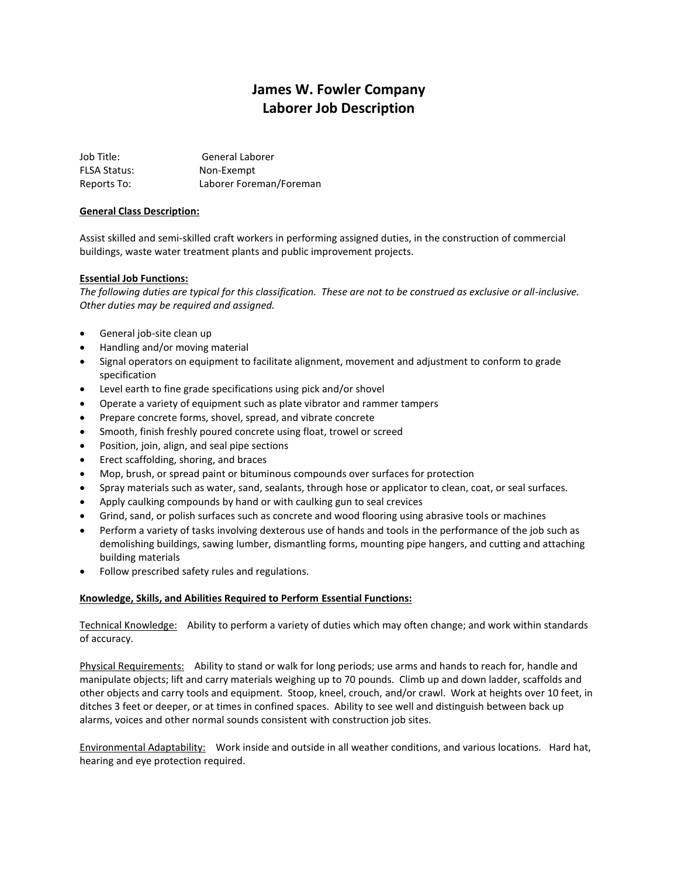# **James W. Fowler Company Laborer Job Description**

Job Title: General Laborer FLSA Status: Non-Exempt Reports To: Laborer Foreman/Foreman

## **General Class Description:**

Assist skilled and semi-skilled craft workers in performing assigned duties, in the construction of commercial buildings, waste water treatment plants and public improvement projects.

#### **Essential Job Functions:**

*The following duties are typical for this classification. These are not to be construed as exclusive or all-inclusive. Other duties may be required and assigned.*

- General job-site clean up
- Handling and/or moving material
- Signal operators on equipment to facilitate alignment, movement and adjustment to conform to grade specification
- Level earth to fine grade specifications using pick and/or shovel
- Operate a variety of equipment such as plate vibrator and rammer tampers
- Prepare concrete forms, shovel, spread, and vibrate concrete
- Smooth, finish freshly poured concrete using float, trowel or screed
- Position, join, align, and seal pipe sections
- **•** Erect scaffolding, shoring, and braces
- Mop, brush, or spread paint or bituminous compounds over surfaces for protection
- Spray materials such as water, sand, sealants, through hose or applicator to clean, coat, or seal surfaces.
- Apply caulking compounds by hand or with caulking gun to seal crevices
- Grind, sand, or polish surfaces such as concrete and wood flooring using abrasive tools or machines
- Perform a variety of tasks involving dexterous use of hands and tools in the performance of the job such as demolishing buildings, sawing lumber, dismantling forms, mounting pipe hangers, and cutting and attaching building materials
- Follow prescribed safety rules and regulations.

#### **Knowledge, Skills, and Abilities Required to Perform Essential Functions:**

Technical Knowledge: Ability to perform a variety of duties which may often change; and work within standards of accuracy.

Physical Requirements: Ability to stand or walk for long periods; use arms and hands to reach for, handle and manipulate objects; lift and carry materials weighing up to 70 pounds. Climb up and down ladder, scaffolds and other objects and carry tools and equipment. Stoop, kneel, crouch, and/or crawl. Work at heights over 10 feet, in ditches 3 feet or deeper, or at times in confined spaces. Ability to see well and distinguish between back up alarms, voices and other normal sounds consistent with construction job sites.

Environmental Adaptability: Work inside and outside in all weather conditions, and various locations. Hard hat, hearing and eye protection required.